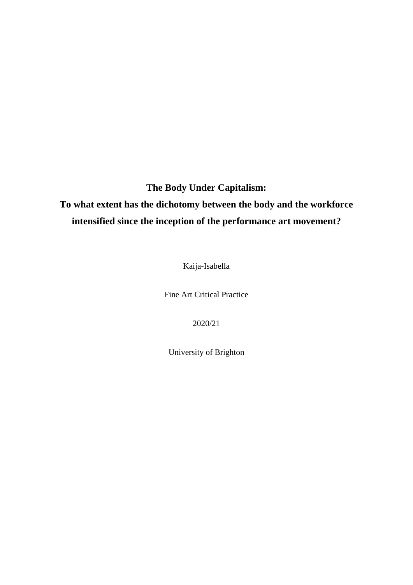**The Body Under Capitalism:**

# **To what extent has the dichotomy between the body and the workforce intensified since the inception of the performance art movement?**

Kaija-Isabella

Fine Art Critical Practice

2020/21

University of Brighton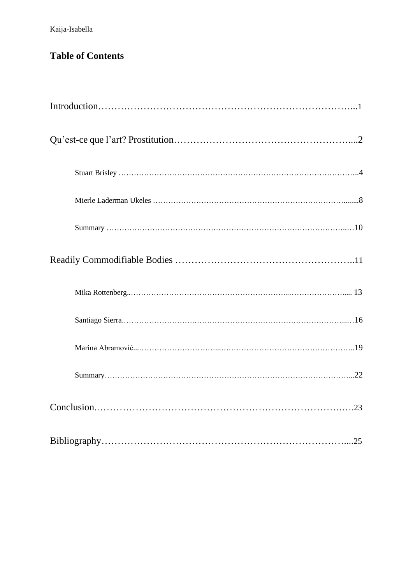## **Table of Contents**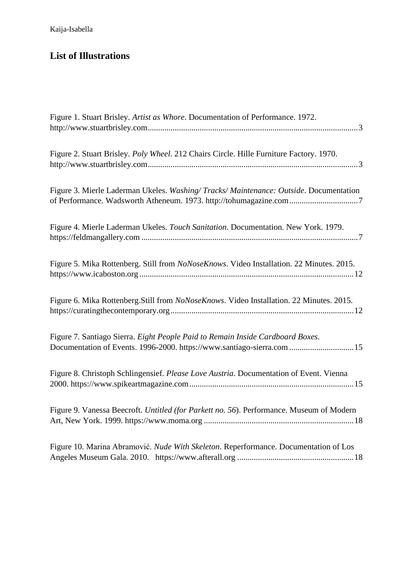## **List of Illustrations**

| Figure 1. Stuart Brisley. Artist as Whore. Documentation of Performance. 1972.                                                                            |
|-----------------------------------------------------------------------------------------------------------------------------------------------------------|
| Figure 2. Stuart Brisley. Poly Wheel. 212 Chairs Circle. Hille Furniture Factory. 1970.                                                                   |
| Figure 3. Mierle Laderman Ukeles. Washing/Tracks/Maintenance: Outside. Documentation                                                                      |
| Figure 4. Mierle Laderman Ukeles. Touch Sanitation. Documentation. New York. 1979.                                                                        |
| Figure 5. Mika Rottenberg. Still from NoNoseKnows. Video Installation. 22 Minutes. 2015.                                                                  |
| Figure 6. Mika Rottenberg. Still from NoNoseKnows. Video Installation. 22 Minutes. 2015.                                                                  |
| Figure 7. Santiago Sierra. Eight People Paid to Remain Inside Cardboard Boxes.<br>Documentation of Events. 1996-2000. https://www.santiago-sierra.com  15 |
| Figure 8. Christoph Schlingensief. Please Love Austria. Documentation of Event. Vienna                                                                    |
| Figure 9. Vanessa Beecroft. Untitled (for Parkett no. 56). Performance. Museum of Modern                                                                  |
| Figure 10. Marina Abramović. Nude With Skeleton. Reperformance. Documentation of Los                                                                      |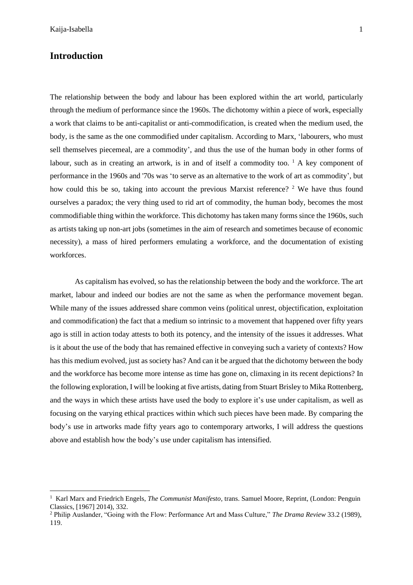## **Introduction**

The relationship between the body and labour has been explored within the art world, particularly through the medium of performance since the 1960s. The dichotomy within a piece of work, especially a work that claims to be anti-capitalist or anti-commodification, is created when the medium used, the body, is the same as the one commodified under capitalism. According to Marx, 'labourers, who must sell themselves piecemeal, are a commodity', and thus the use of the human body in other forms of labour, such as in creating an artwork, is in and of itself a commodity too.<sup>1</sup> A key component of performance in the 1960s and '70s was 'to serve as an alternative to the work of art as commodity', but how could this be so, taking into account the previous Marxist reference? <sup>2</sup> We have thus found ourselves a paradox; the very thing used to rid art of commodity, the human body, becomes the most commodifiable thing within the workforce. This dichotomy has taken many forms since the 1960s, such as artists taking up non-art jobs (sometimes in the aim of research and sometimes because of economic necessity), a mass of hired performers emulating a workforce, and the documentation of existing workforces.

As capitalism has evolved, so has the relationship between the body and the workforce. The art market, labour and indeed our bodies are not the same as when the performance movement began. While many of the issues addressed share common veins (political unrest, objectification, exploitation and commodification) the fact that a medium so intrinsic to a movement that happened over fifty years ago is still in action today attests to both its potency, and the intensity of the issues it addresses. What is it about the use of the body that has remained effective in conveying such a variety of contexts? How has this medium evolved, just as society has? And can it be argued that the dichotomy between the body and the workforce has become more intense as time has gone on, climaxing in its recent depictions? In the following exploration, I will be looking at five artists, dating from Stuart Brisley to Mika Rottenberg, and the ways in which these artists have used the body to explore it's use under capitalism, as well as focusing on the varying ethical practices within which such pieces have been made. By comparing the body's use in artworks made fifty years ago to contemporary artworks, I will address the questions above and establish how the body's use under capitalism has intensified.

<sup>1</sup> Karl Marx and Friedrich Engels, *The Communist Manifesto,* trans. Samuel Moore, Reprint, (London: Penguin Classics, [1967] 2014), 332.

<sup>2</sup> Philip Auslander, "Going with the Flow: Performance Art and Mass Culture," *The Drama Review* 33.2 (1989), 119.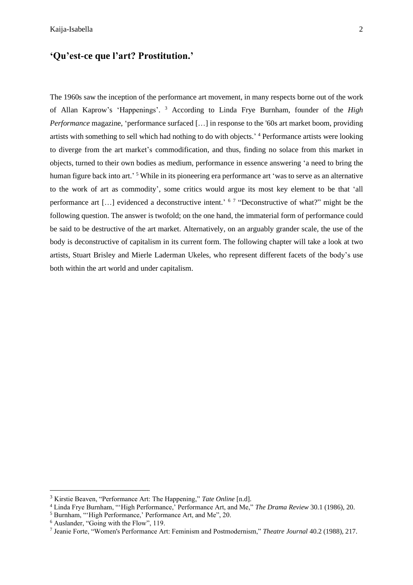## **'Qu'est-ce que l'art? Prostitution.'**

The 1960s saw the inception of the performance art movement, in many respects borne out of the work of Allan Kaprow's 'Happenings'. <sup>3</sup> According to Linda Frye Burnham, founder of the *High Performance* magazine, 'performance surfaced [...] in response to the '60s art market boom, providing artists with something to sell which had nothing to do with objects.' <sup>4</sup> Performance artists were looking to diverge from the art market's commodification, and thus, finding no solace from this market in objects, turned to their own bodies as medium, performance in essence answering 'a need to bring the human figure back into art.' <sup>5</sup> While in its pioneering era performance art 'was to serve as an alternative to the work of art as commodity', some critics would argue its most key element to be that 'all performance art [...] evidenced a deconstructive intent.' <sup>6 7</sup> "Deconstructive of what?" might be the following question. The answer is twofold; on the one hand, the immaterial form of performance could be said to be destructive of the art market. Alternatively, on an arguably grander scale, the use of the body is deconstructive of capitalism in its current form. The following chapter will take a look at two artists, Stuart Brisley and Mierle Laderman Ukeles, who represent different facets of the body's use both within the art world and under capitalism.

<sup>3</sup> Kirstie Beaven, "Performance Art: The Happening," *Tate Online* [n.d].

<sup>4</sup> Linda Frye Burnham, "'High Performance,' Performance Art, and Me," *The Drama Review* 30.1 (1986), 20.

<sup>5</sup> Burnham, "'High Performance,' Performance Art, and Me", 20.

<sup>6</sup> Auslander, "Going with the Flow", 119.

<sup>7</sup> Jeanie Forte, "Women's Performance Art: Feminism and Postmodernism," *Theatre Journal* 40.2 (1988), 217.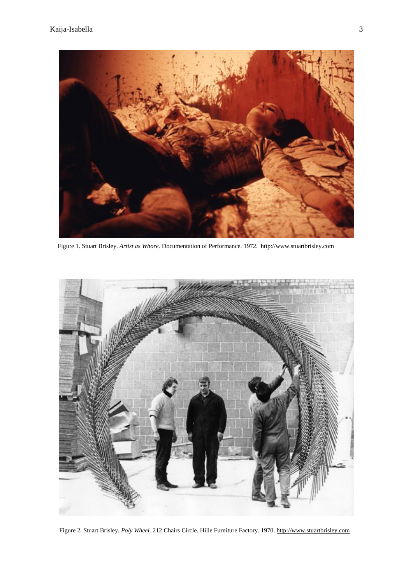

Figure 1. Stuart Brisley. *Artist as Whore.* Documentation of Performance. 1972. [http://www.stuartbrisley.com](http://www.stuartbrisley.com/)



Figure 2*.* Stuart Brisley. *Poly Wheel.* 212 Chairs Circle. Hille Furniture Factory. 1970[. http://www.stuartbrisley.com](http://www.stuartbrisley.com/)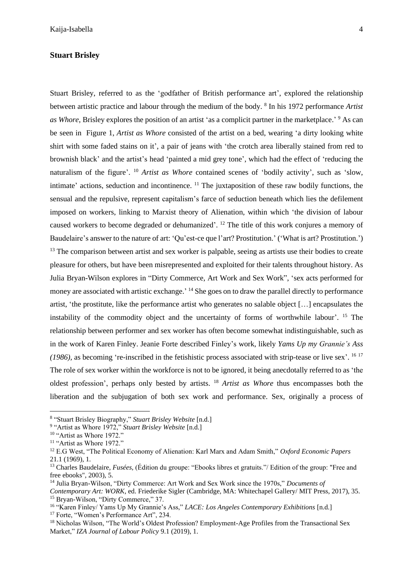### **Stuart Brisley**

Stuart Brisley, referred to as the 'godfather of British performance art', explored the relationship between artistic practice and labour through the medium of the body. <sup>8</sup> In his 1972 performance *Artist as Whore*, Brisley explores the position of an artist 'as a complicit partner in the marketplace.' <sup>9</sup> As can be seen in Figure 1, *Artist as Whore* consisted of the artist on a bed, wearing 'a dirty looking white shirt with some faded stains on it', a pair of jeans with 'the crotch area liberally stained from red to brownish black' and the artist's head 'painted a mid grey tone', which had the effect of 'reducing the naturalism of the figure'. <sup>10</sup> *Artist as Whore* contained scenes of 'bodily activity', such as 'slow, intimate' actions, seduction and incontinence. <sup>11</sup> The juxtaposition of these raw bodily functions, the sensual and the repulsive, represent capitalism's farce of seduction beneath which lies the defilement imposed on workers, linking to Marxist theory of Alienation, within which 'the division of labour caused workers to become degraded or dehumanized'. <sup>12</sup> The title of this work conjures a memory of Baudelaire's answer to the nature of art: 'Qu'est-ce que l'art? Prostitution.' ('What is art? Prostitution.') <sup>13</sup> The comparison between artist and sex worker is palpable, seeing as artists use their bodies to create pleasure for others, but have been misrepresented and exploited for their talents throughout history. As Julia Bryan-Wilson explores in "Dirty Commerce, Art Work and Sex Work", 'sex acts performed for money are associated with artistic exchange.<sup>'14</sup> She goes on to draw the parallel directly to performance artist, 'the prostitute, like the performance artist who generates no salable object […] encapsulates the instability of the commodity object and the uncertainty of forms of worthwhile labour'. <sup>15</sup> The relationship between performer and sex worker has often become somewhat indistinguishable, such as in the work of Karen Finley. Jeanie Forte described Finley's work, likely *Yams Up my Grannie's Ass (1986),* as becoming 're-inscribed in the fetishistic process associated with strip-tease or live sex'. 16 17 The role of sex worker within the workforce is not to be ignored, it being anecdotally referred to as 'the oldest profession', perhaps only bested by artists. <sup>18</sup> *Artist as Whore* thus encompasses both the liberation and the subjugation of both sex work and performance. Sex, originally a process of

<sup>8</sup> "Stuart Brisley Biography," *Stuart Brisley Website* [n.d.]

<sup>9</sup> "Artist as Whore 1972," *Stuart Brisley Website* [n.d.]

<sup>&</sup>lt;sup>10</sup> "Artist as Whore 1972."

<sup>&</sup>lt;sup>11</sup> "Artist as Whore 1972."

<sup>12</sup> E.G West, "The Political Economy of Alienation: Karl Marx and Adam Smith," *Oxford Economic Papers* 21.1 (1969), 1.

<sup>13</sup> Charles Baudelaire*, Fusées,* (Édition du groupe: "Ebooks libres et gratuits."/ Edition of the group: "Free and free ebooks", 2003), 5.

<sup>14</sup> Julia Bryan-Wilson, "Dirty Commerce: Art Work and Sex Work since the 1970s," *Documents of* 

*Contemporary Art: WORK*, ed. Friederike Sigler (Cambridge, MA: Whitechapel Gallery/ MIT Press, 2017), 35. <sup>15</sup> Bryan-Wilson, "Dirty Commerce," 37.

<sup>16</sup> "Karen Finley/ Yams Up My Grannie's Ass," *LACE: Los Angeles Contemporary Exhibitions* [n.d.]

<sup>&</sup>lt;sup>17</sup> Forte, "Women's Performance Art", 234.

<sup>&</sup>lt;sup>18</sup> Nicholas Wilson, "The World's Oldest Profession? Employment-Age Profiles from the Transactional Sex Market," *IZA Journal of Labour Policy* 9.1 (2019), 1.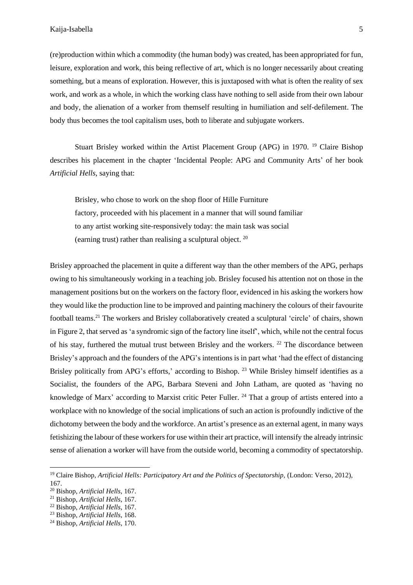(re)production within which a commodity (the human body) was created, has been appropriated for fun, leisure, exploration and work, this being reflective of art, which is no longer necessarily about creating something, but a means of exploration. However, this is juxtaposed with what is often the reality of sex work, and work as a whole, in which the working class have nothing to sell aside from their own labour and body, the alienation of a worker from themself resulting in humiliation and self-defilement. The body thus becomes the tool capitalism uses, both to liberate and subjugate workers.

Stuart Brisley worked within the Artist Placement Group (APG) in 1970. <sup>19</sup> Claire Bishop describes his placement in the chapter 'Incidental People: APG and Community Arts' of her book *Artificial Hells*, saying that:

Brisley, who chose to work on the shop floor of Hille Furniture factory, proceeded with his placement in a manner that will sound familiar to any artist working site-responsively today: the main task was social (earning trust) rather than realising a sculptural object. <sup>20</sup>

Brisley approached the placement in quite a different way than the other members of the APG, perhaps owing to his simultaneously working in a teaching job. Brisley focused his attention not on those in the management positions but on the workers on the factory floor, evidenced in his asking the workers how they would like the production line to be improved and painting machinery the colours of their favourite football teams.<sup>21</sup> The workers and Brisley collaboratively created a sculptural 'circle' of chairs, shown in Figure 2, that served as 'a syndromic sign of the factory line itself', which, while not the central focus of his stay, furthered the mutual trust between Brisley and the workers. <sup>22</sup> The discordance between Brisley's approach and the founders of the APG's intentions is in part what 'had the effect of distancing Brisley politically from APG's efforts,' according to Bishop.<sup>23</sup> While Brisley himself identifies as a Socialist, the founders of the APG, Barbara Steveni and John Latham, are quoted as 'having no knowledge of Marx' according to Marxist critic Peter Fuller. <sup>24</sup> That a group of artists entered into a workplace with no knowledge of the social implications of such an action is profoundly indictive of the dichotomy between the body and the workforce. An artist's presence as an external agent, in many ways fetishizing the labour of these workersfor use within their art practice, will intensify the already intrinsic sense of alienation a worker will have from the outside world, becoming a commodity of spectatorship.

<sup>&</sup>lt;sup>19</sup> Claire Bishop, Artificial Hells: Participatory Art and the Politics of Spectatorship, (London: Verso, 2012), 167.

<sup>20</sup> Bishop, *Artificial Hells*, 167.

<sup>21</sup> Bishop, *Artificial Hells*, 167.

<sup>22</sup> Bishop, *Artificial Hells*, 167.

<sup>23</sup> Bishop, *Artificial Hells*, 168.

<sup>24</sup> Bishop, *Artificial Hells*, 170.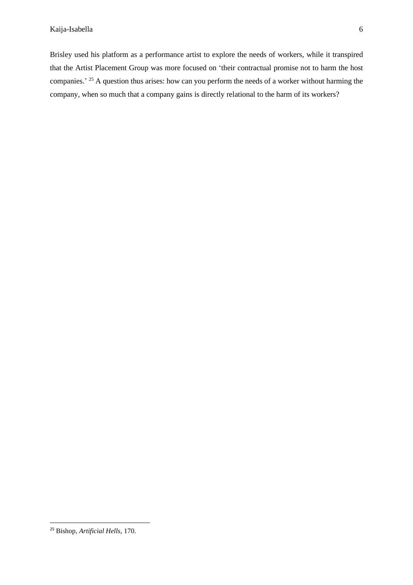Brisley used his platform as a performance artist to explore the needs of workers, while it transpired that the Artist Placement Group was more focused on 'their contractual promise not to harm the host companies.<sup>25</sup> A question thus arises: how can you perform the needs of a worker without harming the company, when so much that a company gains is directly relational to the harm of its workers?

<sup>25</sup> Bishop, *Artificial Hells*, 170.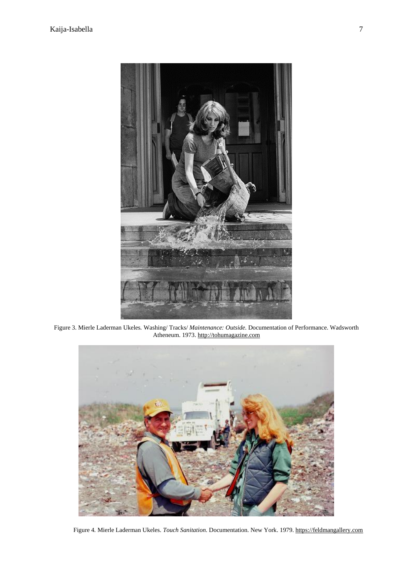

Figure 3. Mierle Laderman Ukeles*.* Washing/ Tracks/ *Maintenance: Outside.* Documentation of Performance. Wadsworth Atheneum. 1973. [http://tohumagazine.com](http://tohumagazine.com/)



Figure 4*.* Mierle Laderman Ukeles. *Touch Sanitation.* Documentation. New York. 1979. [https://feldmangallery.com](https://feldmangallery.com/)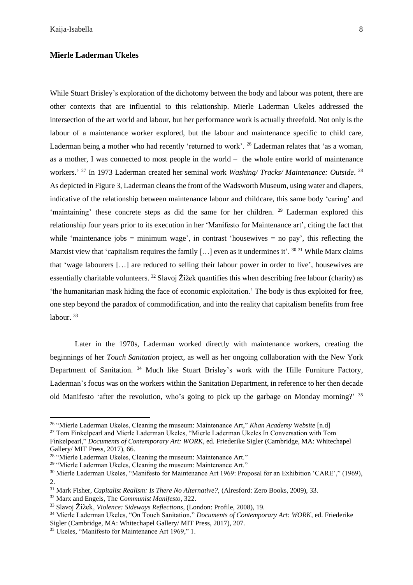## **Mierle Laderman Ukeles**

While Stuart Brisley's exploration of the dichotomy between the body and labour was potent, there are other contexts that are influential to this relationship. Mierle Laderman Ukeles addressed the intersection of the art world and labour, but her performance work is actually threefold. Not only is the labour of a maintenance worker explored, but the labour and maintenance specific to child care, Laderman being a mother who had recently 'returned to work'. <sup>26</sup> Laderman relates that 'as a woman, as a mother, I was connected to most people in the world – the whole entire world of maintenance workers.' <sup>27</sup> In 1973 Laderman created her seminal work *Washing/ Tracks/ Maintenance: Outside*. 28 As depicted in Figure 3, Laderman cleans the front of the Wadsworth Museum, using water and diapers, indicative of the relationship between maintenance labour and childcare, this same body 'caring' and 'maintaining' these concrete steps as did the same for her children. <sup>29</sup> Laderman explored this relationship four years prior to its execution in her 'Manifesto for Maintenance art', citing the fact that while 'maintenance jobs  $=$  minimum wage', in contrast 'housewives  $=$  no pay', this reflecting the Marxist view that 'capitalism requires the family [...] even as it undermines it'. <sup>30 31</sup> While Marx claims that 'wage labourers […] are reduced to selling their labour power in order to live', housewives are essentially charitable volunteers. <sup>32</sup> Slavoj Žižek quantifies this when describing free labour (charity) as 'the humanitarian mask hiding the face of economic exploitation.' The body is thus exploited for free, one step beyond the paradox of commodification, and into the reality that capitalism benefits from free labour.<sup>33</sup>

Later in the 1970s, Laderman worked directly with maintenance workers, creating the beginnings of her *Touch Sanitation* project, as well as her ongoing collaboration with the New York Department of Sanitation. <sup>34</sup> Much like Stuart Brisley's work with the Hille Furniture Factory, Laderman's focus was on the workers within the Sanitation Department, in reference to her then decade old Manifesto 'after the revolution, who's going to pick up the garbage on Monday morning?' 35

<sup>27</sup> Tom Finkelpearl and Mierle Laderman Ukeles, "Mierle Laderman Ukeles In Conversation with Tom

<sup>26</sup> "Mierle Laderman Ukeles, Cleaning the museum: Maintenance Art," *Khan Academy Website* [n.d]

Finkelpearl," *Documents of Contemporary Art: WORK*, ed. Friederike Sigler (Cambridge, MA: Whitechapel Gallery/ MIT Press, 2017), 66.

<sup>&</sup>lt;sup>28</sup> "Mierle Laderman Ukeles, Cleaning the museum: Maintenance Art."

<sup>29</sup> "Mierle Laderman Ukeles, Cleaning the museum: Maintenance Art."

<sup>&</sup>lt;sup>30</sup> Mierle Laderman Ukeles, "Manifesto for Maintenance Art 1969: Proposal for an Exhibition 'CARE'," (1969), 2.

<sup>31</sup> Mark Fisher, *Capitalist Realism: Is There No Alternative?,* (Alresford: Zero Books, 2009), 33.

<sup>32</sup> Marx and Engels, The *Communist Manifesto*, 322.

<sup>33</sup> Slavoj Žižek, *Violence: Sideways Reflections*, (London: Profile, 2008), 19.

<sup>34</sup> Mierle Laderman Ukeles, "On Touch Sanitation," *Documents of Contemporary Art: WORK*, ed. Friederike Sigler (Cambridge, MA: Whitechapel Gallery/ MIT Press, 2017), 207.

<sup>35</sup> Ukeles, "Manifesto for Maintenance Art 1969," 1.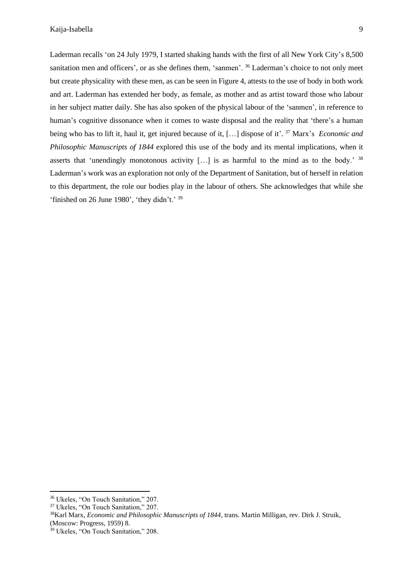Laderman recalls 'on 24 July 1979, I started shaking hands with the first of all New York City's 8,500 sanitation men and officers', or as she defines them, 'sanmen'. <sup>36</sup> Laderman's choice to not only meet but create physicality with these men, as can be seen in Figure 4, attests to the use of body in both work and art. Laderman has extended her body, as female, as mother and as artist toward those who labour in her subject matter daily. She has also spoken of the physical labour of the 'sanmen', in reference to human's cognitive dissonance when it comes to waste disposal and the reality that 'there's a human being who has to lift it, haul it, get injured because of it, […] dispose of it'. <sup>37</sup> Marx's *Economic and Philosophic Manuscripts of 1844* explored this use of the body and its mental implications, when it asserts that 'unendingly monotonous activity [...] is as harmful to the mind as to the body.' <sup>38</sup> Laderman's work was an exploration not only of the Department of Sanitation, but of herself in relation to this department, the role our bodies play in the labour of others. She acknowledges that while she 'finished on 26 June 1980', 'they didn't.' 39

<sup>36</sup> Ukeles, "On Touch Sanitation," 207.

<sup>37</sup> Ukeles, "On Touch Sanitation," 207.

<sup>38</sup>Karl Marx, *Economic and Philosophic Manuscripts of 1844*, trans. Martin Milligan, rev. Dirk J. Struik, (Moscow: Progress, 1959) 8.

<sup>39</sup> Ukeles, "On Touch Sanitation," 208.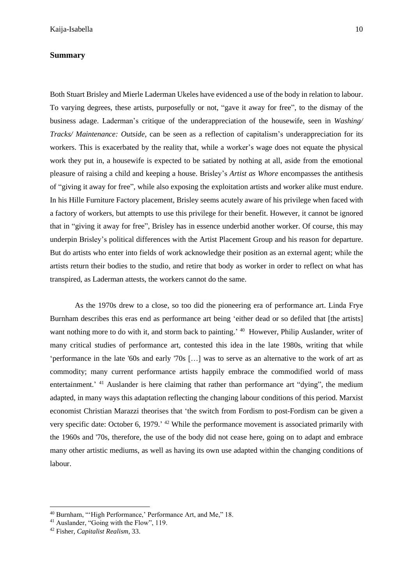## **Summary**

Both Stuart Brisley and Mierle Laderman Ukeles have evidenced a use of the body in relation to labour. To varying degrees, these artists, purposefully or not, "gave it away for free", to the dismay of the business adage. Laderman's critique of the underappreciation of the housewife, seen in *Washing/ Tracks/ Maintenance: Outside*, can be seen as a reflection of capitalism's underappreciation for its workers. This is exacerbated by the reality that, while a worker's wage does not equate the physical work they put in, a housewife is expected to be satiated by nothing at all, aside from the emotional pleasure of raising a child and keeping a house. Brisley's *Artist as Whore* encompasses the antithesis of "giving it away for free", while also exposing the exploitation artists and worker alike must endure. In his Hille Furniture Factory placement, Brisley seems acutely aware of his privilege when faced with a factory of workers, but attempts to use this privilege for their benefit. However, it cannot be ignored that in "giving it away for free", Brisley has in essence underbid another worker. Of course, this may underpin Brisley's political differences with the Artist Placement Group and his reason for departure. But do artists who enter into fields of work acknowledge their position as an external agent; while the artists return their bodies to the studio, and retire that body as worker in order to reflect on what has transpired, as Laderman attests, the workers cannot do the same.

As the 1970s drew to a close, so too did the pioneering era of performance art. Linda Frye Burnham describes this eras end as performance art being 'either dead or so defiled that [the artists] want nothing more to do with it, and storm back to painting.' <sup>40</sup> However, Philip Auslander, writer of many critical studies of performance art, contested this idea in the late 1980s, writing that while 'performance in the late '60s and early '70s […] was to serve as an alternative to the work of art as commodity; many current performance artists happily embrace the commodified world of mass entertainment.<sup>' 41</sup> Auslander is here claiming that rather than performance art "dying", the medium adapted, in many ways this adaptation reflecting the changing labour conditions of this period. Marxist economist Christian Marazzi theorises that 'the switch from Fordism to post-Fordism can be given a very specific date: October 6, 1979.' <sup>42</sup> While the performance movement is associated primarily with the 1960s and '70s, therefore, the use of the body did not cease here, going on to adapt and embrace many other artistic mediums, as well as having its own use adapted within the changing conditions of labour.

<sup>40</sup> Burnham, "'High Performance,' Performance Art, and Me," 18.

<sup>&</sup>lt;sup>41</sup> Auslander, "Going with the Flow", 119.

<sup>42</sup> Fisher, *Capitalist Realism*, 33.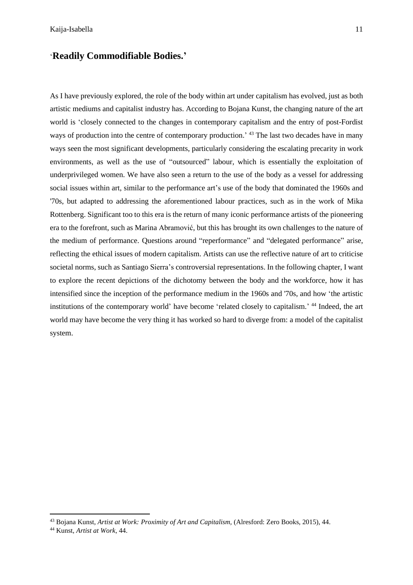## '**Readily Commodifiable Bodies.'**

As I have previously explored, the role of the body within art under capitalism has evolved, just as both artistic mediums and capitalist industry has. According to Bojana Kunst, the changing nature of the art world is 'closely connected to the changes in contemporary capitalism and the entry of post-Fordist ways of production into the centre of contemporary production.' <sup>43</sup> The last two decades have in many ways seen the most significant developments, particularly considering the escalating precarity in work environments, as well as the use of "outsourced" labour, which is essentially the exploitation of underprivileged women. We have also seen a return to the use of the body as a vessel for addressing social issues within art, similar to the performance art's use of the body that dominated the 1960s and '70s, but adapted to addressing the aforementioned labour practices, such as in the work of Mika Rottenberg. Significant too to this era is the return of many iconic performance artists of the pioneering era to the forefront, such as Marina Abramović, but this has brought its own challenges to the nature of the medium of performance. Questions around "reperformance" and "delegated performance" arise, reflecting the ethical issues of modern capitalism. Artists can use the reflective nature of art to criticise societal norms, such as Santiago Sierra's controversial representations. In the following chapter, I want to explore the recent depictions of the dichotomy between the body and the workforce, how it has intensified since the inception of the performance medium in the 1960s and '70s, and how 'the artistic institutions of the contemporary world' have become 'related closely to capitalism.' <sup>44</sup> Indeed, the art world may have become the very thing it has worked so hard to diverge from: a model of the capitalist system.

<sup>43</sup> Bojana Kunst, *Artist at Work: Proximity of Art and Capitalism,* (Alresford: Zero Books, 2015), 44.

<sup>44</sup> Kunst, *Artist at Work*, 44.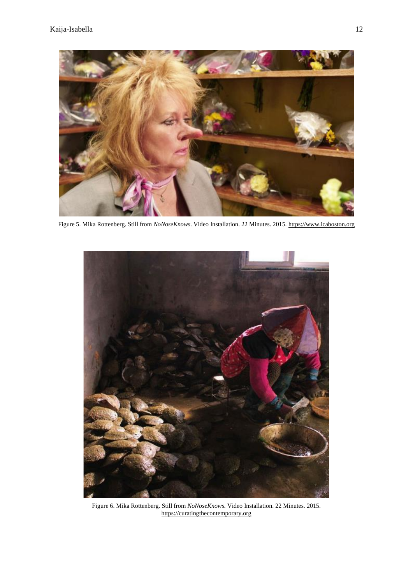

Figure 5. Mika Rottenberg. Still from *NoNoseKnows*. Video Installation. 22 Minutes. 2015. [https://www.icaboston.org](https://www.icaboston.org/)



Figure 6. Mika Rottenberg. Still from *NoNoseKnows.* Video Installation. 22 Minutes. 2015. [https://curatingthecontemporary.org](https://curatingthecontemporary.org/)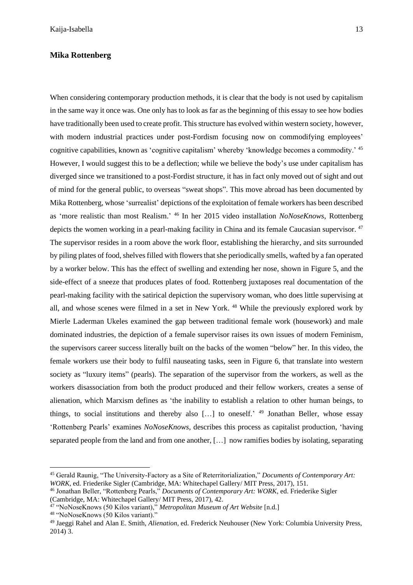### **Mika Rottenberg**

When considering contemporary production methods, it is clear that the body is not used by capitalism in the same way it once was. One only has to look as far as the beginning of this essay to see how bodies have traditionally been used to create profit. This structure has evolved within western society, however, with modern industrial practices under post-Fordism focusing now on commodifying employees' cognitive capabilities, known as 'cognitive capitalism' whereby 'knowledge becomes a commodity.' <sup>45</sup> However, I would suggest this to be a deflection; while we believe the body's use under capitalism has diverged since we transitioned to a post-Fordist structure, it has in fact only moved out of sight and out of mind for the general public, to overseas "sweat shops". This move abroad has been documented by Mika Rottenberg, whose 'surrealist' depictions of the exploitation of female workers has been described as 'more realistic than most Realism.' <sup>46</sup> In her 2015 video installation *NoNoseKnows*, Rottenberg depicts the women working in a pearl-making facility in China and its female Caucasian supervisor.<sup>47</sup> The supervisor resides in a room above the work floor, establishing the hierarchy, and sits surrounded by piling plates of food, shelvesfilled with flowersthatshe periodically smells, wafted by a fan operated by a worker below. This has the effect of swelling and extending her nose, shown in Figure 5, and the side-effect of a sneeze that produces plates of food. Rottenberg juxtaposes real documentation of the pearl-making facility with the satirical depiction the supervisory woman, who does little supervising at all, and whose scenes were filmed in a set in New York. <sup>48</sup> While the previously explored work by Mierle Laderman Ukeles examined the gap between traditional female work (housework) and male dominated industries, the depiction of a female supervisor raises its own issues of modern Feminism, the supervisors career success literally built on the backs of the women "below" her. In this video, the female workers use their body to fulfil nauseating tasks, seen in Figure 6, that translate into western society as "luxury items" (pearls). The separation of the supervisor from the workers, as well as the workers disassociation from both the product produced and their fellow workers, creates a sense of alienation, which Marxism defines as 'the inability to establish a relation to other human beings, to things, to social institutions and thereby also [...] to oneself.' <sup>49</sup> Jonathan Beller, whose essay 'Rottenberg Pearls' examines *NoNoseKnows*, describes this process as capitalist production, 'having separated people from the land and from one another, […] now ramifies bodies by isolating, separating

<sup>45</sup> Gerald Raunig, "The University-Factory as a Site of Reterritorialization," *Documents of Contemporary Art: WORK*, ed. Friederike Sigler (Cambridge, MA: Whitechapel Gallery/ MIT Press, 2017), 151.

<sup>46</sup> Jonathan Beller, "Rottenberg Pearls," *Documents of Contemporary Art: WORK*, ed. Friederike Sigler (Cambridge, MA: Whitechapel Gallery/ MIT Press, 2017), 42.

<sup>47</sup> "NoNoseKnows (50 Kilos variant)," *Metropolitan Museum of Art Website* [n.d.]

<sup>48</sup> "NoNoseKnows (50 Kilos variant)."

<sup>49</sup> Jaeggi Rahel and Alan E. Smith, *Alienation,* ed. Frederick Neuhouser (New York: Columbia University Press, 2014) 3.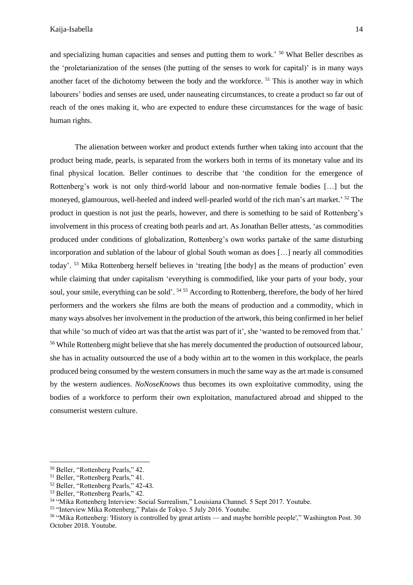and specializing human capacities and senses and putting them to work.<sup>50</sup> What Beller describes as the 'proletarianization of the senses (the putting of the senses to work for capital)' is in many ways another facet of the dichotomy between the body and the workforce. <sup>51</sup> This is another way in which labourers' bodies and senses are used, under nauseating circumstances, to create a product so far out of reach of the ones making it, who are expected to endure these circumstances for the wage of basic human rights.

The alienation between worker and product extends further when taking into account that the product being made, pearls, is separated from the workers both in terms of its monetary value and its final physical location. Beller continues to describe that 'the condition for the emergence of Rottenberg's work is not only third-world labour and non-normative female bodies […] but the moneyed, glamourous, well-heeled and indeed well-pearled world of the rich man's art market.' <sup>52</sup> The product in question is not just the pearls, however, and there is something to be said of Rottenberg's involvement in this process of creating both pearls and art. As Jonathan Beller attests, 'as commodities produced under conditions of globalization, Rottenberg's own works partake of the same disturbing incorporation and sublation of the labour of global South woman as does […] nearly all commodities today'. <sup>53</sup> Mika Rottenberg herself believes in 'treating [the body] as the means of production' even while claiming that under capitalism 'everything is commodified, like your parts of your body, your soul, your smile, everything can be sold'. <sup>54 55</sup> According to Rottenberg, therefore, the body of her hired performers and the workers she films are both the means of production and a commodity, which in many ways absolves her involvement in the production of the artwork, this being confirmed in her belief that while 'so much of video art was that the artist was part of it', she 'wanted to be removed from that.' <sup>56</sup> While Rottenberg might believe that she has merely documented the production of outsourced labour, she has in actuality outsourced the use of a body within art to the women in this workplace, the pearls produced being consumed by the western consumers in much the same way as the art made is consumed by the western audiences. *NoNoseKnows* thus becomes its own exploitative commodity, using the bodies of a workforce to perform their own exploitation, manufactured abroad and shipped to the consumerist western culture.

<sup>50</sup> Beller, "Rottenberg Pearls," 42.

<sup>&</sup>lt;sup>51</sup> Beller, "Rottenberg Pearls," 41.

<sup>52</sup> Beller, "Rottenberg Pearls," 42-43.

<sup>53</sup> Beller, "Rottenberg Pearls," 42.

<sup>54</sup> "Mika Rottenberg Interview: Social Surrealism," Louisiana Channel. 5 Sept 2017. Youtube.

<sup>55</sup> "Interview Mika Rottenberg," Palais de Tokyo. 5 July 2016. Youtube.

<sup>56</sup> "Mika Rottenberg: 'History is controlled by great artists — and maybe horrible people'," Washington Post. 30 October 2018. Youtube.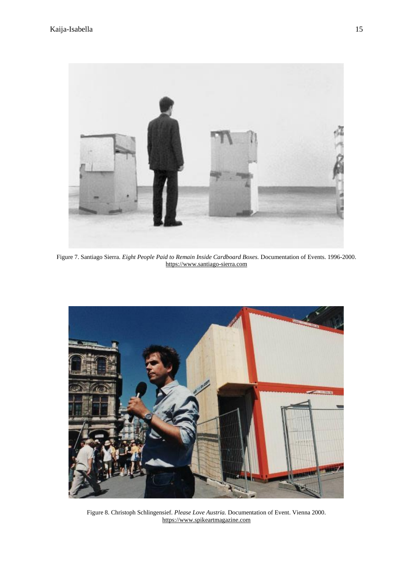

Figure 7. Santiago Sierra. *Eight People Paid to Remain Inside Cardboard Boxes.* Documentation of Events. 1996-2000. [https://www.santiago-sierra.com](https://www.santiago-sierra.com/)



Figure 8. Christoph Schlingensief. *Please Love Austria.* Documentation of Event. Vienna 2000. [https://www.spikeartmagazine.com](https://www.spikeartmagazine.com/)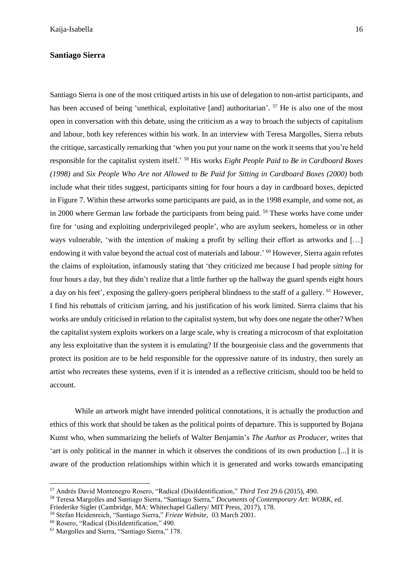### **Santiago Sierra**

Santiago Sierra is one of the most critiqued artists in his use of delegation to non-artist participants, and has been accused of being 'unethical, exploitative [and] authoritarian'. <sup>57</sup> He is also one of the most open in conversation with this debate, using the criticism as a way to broach the subjects of capitalism and labour, both key references within his work. In an interview with Teresa Margolles, Sierra rebuts the critique, sarcastically remarking that 'when you put your name on the work it seems that you're held responsible for the capitalist system itself.' <sup>58</sup> His works *Eight People Paid to Be in Cardboard Boxes (1998)* and *Six People Who Are not Allowed to Be Paid for Sitting in Cardboard Boxes (2000)* both include what their titles suggest, participants sitting for four hours a day in cardboard boxes, depicted in Figure 7. Within these artworks some participants are paid, as in the 1998 example, and some not, as in 2000 where German law forbade the participants from being paid. <sup>59</sup> These works have come under fire for 'using and exploiting underprivileged people', who are asylum seekers, homeless or in other ways vulnerable, 'with the intention of making a profit by selling their effort as artworks and […] endowing it with value beyond the actual cost of materials and labour.' <sup>60</sup> However, Sierra again refutes the claims of exploitation, infamously stating that 'they criticized me because I had people *sitting* for four hours a day, but they didn't realize that a little further up the hallway the guard spends eight hours a day on his feet', exposing the gallery-goers peripheral blindness to the staff of a gallery. <sup>61</sup> However, I find his rebuttals of criticism jarring, and his justification of his work limited. Sierra claims that his works are unduly criticised in relation to the capitalist system, but why does one negate the other? When the capitalist system exploits workers on a large scale, why is creating a microcosm of that exploitation any less exploitative than the system it is emulating? If the bourgeoisie class and the governments that protect its position are to be held responsible for the oppressive nature of its industry, then surely an artist who recreates these systems, even if it is intended as a reflective criticism, should too be held to account.

While an artwork might have intended political connotations, it is actually the production and ethics of this work that should be taken as the political points of departure. This is supported by Bojana Kunst who, when summarizing the beliefs of Walter Benjamin's *The Author as Producer*, writes that 'art is only political in the manner in which it observes the conditions of its own production [...] it is aware of the production relationships within which it is generated and works towards emancipating

<sup>57</sup> Andrés David Montenegro Rosero, "Radical (Dis)Identification," *Third Text* 29.6 (2015), 490.

<sup>58</sup> Teresa Margolles and Santiago Sierra, "Santiago Sierra," *Documents of Contemporary Art: WORK*, ed.

Friederike Sigler (Cambridge, MA: Whitechapel Gallery/ MIT Press, 2017), 178.

<sup>59</sup> Stefan Heidenreich, "Santiago Sierra," *Frieze Website*, 03 March 2001.

<sup>60</sup> Rosero, "Radical (Dis)Identification," 490.

<sup>61</sup> Margolles and Sierra, "Santiago Sierra," 178.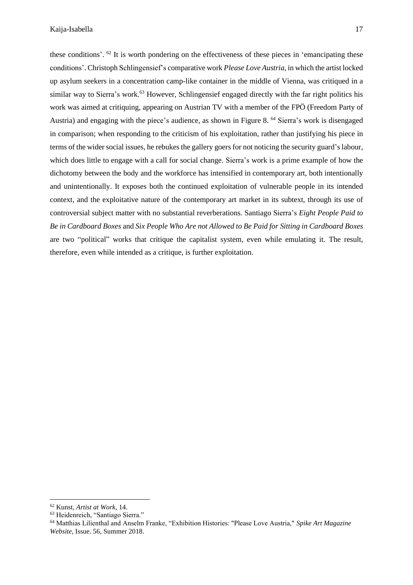these conditions'. <sup>62</sup> It is worth pondering on the effectiveness of these pieces in 'emancipating these conditions'. Christoph Schlingensief's comparative work *Please Love Austria*, in which the artist locked up asylum seekers in a concentration camp-like container in the middle of Vienna, was critiqued in a similar way to Sierra's work.<sup>63</sup> However, Schlingensief engaged directly with the far right politics his work was aimed at critiquing, appearing on Austrian TV with a member of the FPÖ (Freedom Party of Austria) and engaging with the piece's audience, as shown in Figure 8. <sup>64</sup> Sierra's work is disengaged in comparison; when responding to the criticism of his exploitation, rather than justifying his piece in terms of the wider social issues, he rebukes the gallery goers for not noticing the security guard's labour, which does little to engage with a call for social change. Sierra's work is a prime example of how the dichotomy between the body and the workforce has intensified in contemporary art, both intentionally and unintentionally. It exposes both the continued exploitation of vulnerable people in its intended context, and the exploitative nature of the contemporary art market in its subtext, through its use of controversial subject matter with no substantial reverberations. Santiago Sierra's *Eight People Paid to Be in Cardboard Boxes* and *Six People Who Are not Allowed to Be Paid for Sitting in Cardboard Boxes* are two "political" works that critique the capitalist system, even while emulating it. The result, therefore, even while intended as a critique, is further exploitation.

<sup>62</sup> Kunst, *Artist at Work*, 14.

<sup>63</sup> Heidenreich, "Santiago Sierra."

<sup>64</sup> Matthias Lilienthal and Anselm Franke, "Exhibition Histories: "Please Love Austria," *Spike Art Magazine Website*, Issue. 56, Summer 2018.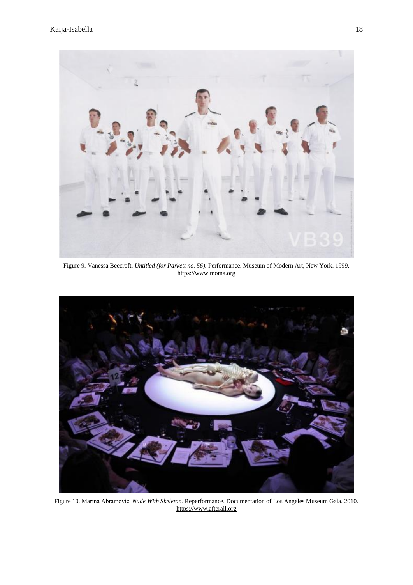

Figure 9*.* Vanessa Beecroft. *Untitled (for Parkett no. 56).* Performance. Museum of Modern Art, New York. 1999. [https://www.moma.org](https://www.moma.org/)



Figure 10. Marina Abramović. *Nude With Skeleton.* Reperformance. Documentation of Los Angeles Museum Gala. 2010. [https://www.afterall.org](https://www.afterall.org/)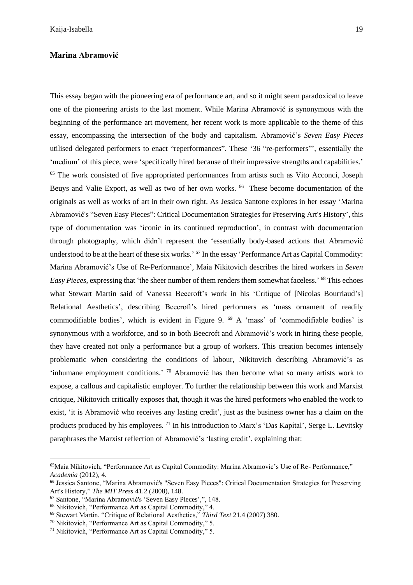### **Marina Abramović**

This essay began with the pioneering era of performance art, and so it might seem paradoxical to leave one of the pioneering artists to the last moment. While Marina Abramović is synonymous with the beginning of the performance art movement, her recent work is more applicable to the theme of this essay, encompassing the intersection of the body and capitalism. Abramović's *Seven Easy Pieces* utilised delegated performers to enact "reperformances". These '36 "re-performers"', essentially the 'medium' of this piece, were 'specifically hired because of their impressive strengths and capabilities.' <sup>65</sup> The work consisted of five appropriated performances from artists such as Vito Acconci, Joseph Beuys and Valie Export, as well as two of her own works. <sup>66</sup> These become documentation of the originals as well as works of art in their own right. As Jessica Santone explores in her essay 'Marina Abramović's "Seven Easy Pieces": Critical Documentation Strategies for Preserving Art's History', this type of documentation was 'iconic in its continued reproduction', in contrast with documentation through photography, which didn't represent the 'essentially body-based actions that Abramović understood to be at the heart of these six works.' <sup>67</sup> In the essay 'Performance Art as Capital Commodity: Marina Abramović's Use of Re-Performance'*,* Maia Nikitovich describes the hired workers in *Seven Easy Pieces*, expressing that 'the sheer number of them renders them somewhat faceless.' <sup>68</sup> This echoes what Stewart Martin said of Vanessa Beecroft's work in his 'Critique of [Nicolas Bourriaud's] Relational Aesthetics', describing Beecroft's hired performers as 'mass ornament of readily commodifiable bodies', which is evident in Figure 9. <sup>69</sup> A 'mass' of 'commodifiable bodies' is synonymous with a workforce, and so in both Beecroft and Abramović's work in hiring these people, they have created not only a performance but a group of workers. This creation becomes intensely problematic when considering the conditions of labour, Nikitovich describing Abramović's as 'inhumane employment conditions.' <sup>70</sup> Abramović has then become what so many artists work to expose, a callous and capitalistic employer. To further the relationship between this work and Marxist critique, Nikitovich critically exposes that, though it was the hired performers who enabled the work to exist, 'it is Abramović who receives any lasting credit', just as the business owner has a claim on the products produced by his employees. <sup>71</sup> In his introduction to Marx's 'Das Kapital', Serge L. Levitsky paraphrases the Marxist reflection of Abramović's 'lasting credit', explaining that:

<sup>65</sup>Maia Nikitovich, "Performance Art as Capital Commodity: Marina Abramovic's Use of Re- Performance," *Academia* (2012), 4.

<sup>66</sup> Jessica Santone, "Marina Abramović's "Seven Easy Pieces": Critical Documentation Strategies for Preserving Art's History," *The MIT Press* 41.2 (2008), 148.

<sup>67</sup> Santone, "Marina Abramović's 'Seven Easy Pieces',", 148.

<sup>68</sup> Nikitovich, "Performance Art as Capital Commodity," 4.

<sup>69</sup> Stewart Martin, "Critique of Relational Aesthetics," *Third Text* 21.4 (2007) 380.

<sup>70</sup> Nikitovich, "Performance Art as Capital Commodity," 5.

<sup>71</sup> Nikitovich, "Performance Art as Capital Commodity," 5.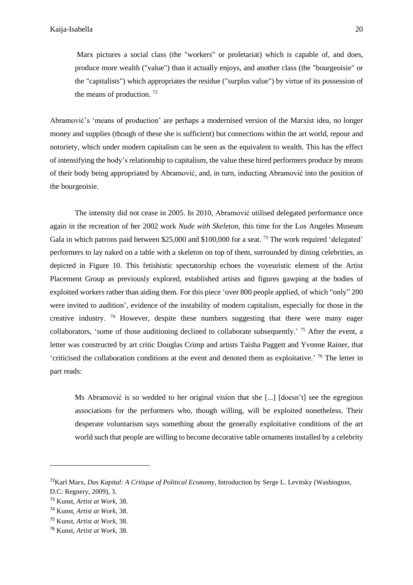Marx pictures a social class (the "workers" or proletariat) which is capable of, and does, produce more wealth ("value") than it actually enjoys, and another class (the "bourgeoisie" or the "capitalists") which appropriates the residue ("surplus value") by virtue of its possession of the means of production.  $72$ 

Abramović's 'means of production' are perhaps a modernised version of the Marxist idea, no longer money and supplies (though of these she is sufficient) but connections within the art world, repour and notoriety, which under modern capitalism can be seen as the equivalent to wealth. This has the effect of intensifying the body's relationship to capitalism, the value these hired performers produce by means of their body being appropriated by Abramović, and, in turn, inducting Abramović into the position of the bourgeoisie.

The intensity did not cease in 2005. In 2010, Abramović utilised delegated performance once again in the recreation of her 2002 work *Nude with Skeleton*, this time for the Los Angeles Museum Gala in which patrons paid between \$25,000 and \$100,000 for a seat.<sup>73</sup> The work required 'delegated' performers to lay naked on a table with a skeleton on top of them, surrounded by dining celebrities, as depicted in Figure 10. This fetishistic spectatorship echoes the voyeuristic element of the Artist Placement Group as previously explored, established artists and figures gawping at the bodies of exploited workers rather than aiding them. For this piece 'over 800 people applied, of which "only" 200 were invited to audition', evidence of the instability of modern capitalism, especially for those in the creative industry. <sup>74</sup> However, despite these numbers suggesting that there were many eager collaborators, 'some of those auditioning declined to collaborate subsequently.' <sup>75</sup> After the event, a letter was constructed by art critic Douglas Crimp and artists Taisha Paggett and Yvonne Rainer, that 'criticised the collaboration conditions at the event and denoted them as exploitative.' <sup>76</sup> The letter in part reads:

Ms Abramović is so wedded to her original vision that she [...] [doesn't] see the egregious associations for the performers who, though willing, will be exploited nonetheless. Their desperate voluntarism says something about the generally exploitative conditions of the art world such that people are willing to become decorative table ornaments installed by a celebrity

<sup>72</sup>Karl Marx, *Das Kapital: A Critique of Political Economy*, Introduction by Serge L. Levitsky (Washington,

D.C: Regnery, 2009), 3.

<sup>73</sup> Kunst, *Artist at Work*, 38.

<sup>74</sup> Kunst, *Artist at Work*, 38.

<sup>75</sup> Kunst, *Artist at Work*, 38.

<sup>76</sup> Kunst, *Artist at Work*, 38.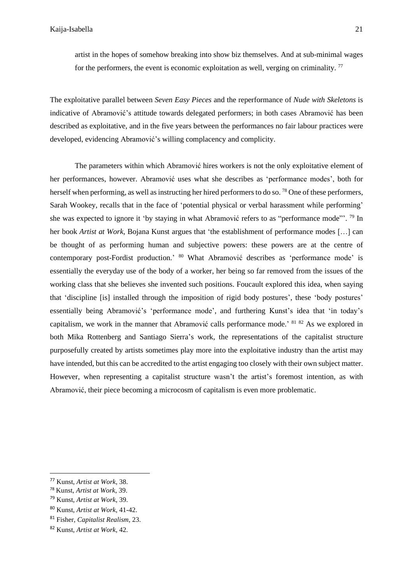artist in the hopes of somehow breaking into show biz themselves. And at sub-minimal wages for the performers, the event is economic exploitation as well, verging on criminality.<sup>77</sup>

The exploitative parallel between *Seven Easy Pieces* and the reperformance of *Nude with Skeletons* is indicative of Abramović's attitude towards delegated performers; in both cases Abramović has been described as exploitative, and in the five years between the performances no fair labour practices were developed, evidencing Abramović's willing complacency and complicity.

The parameters within which Abramović hires workers is not the only exploitative element of her performances, however. Abramović uses what she describes as 'performance modes', both for herself when performing, as well as instructing her hired performers to do so.<sup>78</sup> One of these performers, Sarah Wookey, recalls that in the face of 'potential physical or verbal harassment while performing' she was expected to ignore it 'by staying in what Abramović refers to as "performance mode"'. <sup>79</sup> In her book *Artist at Work,* Bojana Kunst argues that 'the establishment of performance modes […] can be thought of as performing human and subjective powers: these powers are at the centre of contemporary post-Fordist production.' <sup>80</sup> What Abramović describes as 'performance mode' is essentially the everyday use of the body of a worker, her being so far removed from the issues of the working class that she believes she invented such positions. Foucault explored this idea, when saying that 'discipline [is] installed through the imposition of rigid body postures', these 'body postures' essentially being Abramović's 'performance mode', and furthering Kunst's idea that 'in today's capitalism, we work in the manner that Abramović calls performance mode.' <sup>81 82</sup> As we explored in both Mika Rottenberg and Santiago Sierra's work, the representations of the capitalist structure purposefully created by artists sometimes play more into the exploitative industry than the artist may have intended, but this can be accredited to the artist engaging too closely with their own subject matter. However, when representing a capitalist structure wasn't the artist's foremost intention, as with Abramović, their piece becoming a microcosm of capitalism is even more problematic.

<sup>77</sup> Kunst, *Artist at Work*, 38.

<sup>78</sup> Kunst, *Artist at Work*, 39.

<sup>79</sup> Kunst, *Artist at Work*, 39.

<sup>80</sup> Kunst, *Artist at Work*, 41-42.

<sup>81</sup> Fisher, *Capitalist Realism*, 23.

<sup>82</sup> Kunst, *Artist at Work*, 42.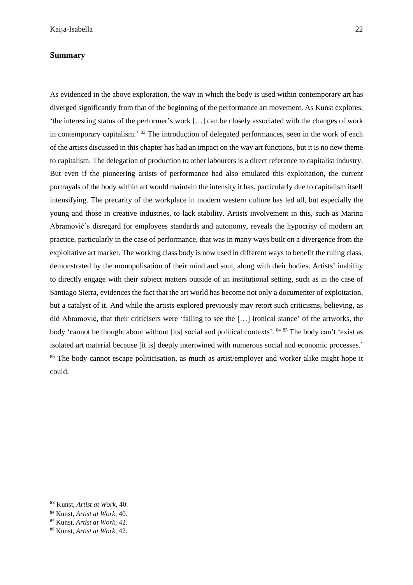## **Summary**

As evidenced in the above exploration, the way in which the body is used within contemporary art has diverged significantly from that of the beginning of the performance art movement. As Kunst explores, 'the interesting status of the performer's work […] can be closely associated with the changes of work in contemporary capitalism.' <sup>83</sup> The introduction of delegated performances, seen in the work of each of the artists discussed in this chapter has had an impact on the way art functions, but it is no new theme to capitalism. The delegation of production to other labourers is a direct reference to capitalist industry. But even if the pioneering artists of performance had also emulated this exploitation, the current portrayals of the body within art would maintain the intensity it has, particularly due to capitalism itself intensifying. The precarity of the workplace in modern western culture has led all, but especially the young and those in creative industries, to lack stability. Artists involvement in this, such as Marina Abramović's disregard for employees standards and autonomy, reveals the hypocrisy of modern art practice, particularly in the case of performance, that was in many ways built on a divergence from the exploitative art market. The working class body is now used in different ways to benefit the ruling class, demonstrated by the monopolisation of their mind and soul, along with their bodies. Artists' inability to directly engage with their subject matters outside of an institutional setting, such as in the case of Santiago Sierra, evidences the fact that the art world has become not only a documenter of exploitation, but a catalyst of it. And while the artists explored previously may retort such criticisms, believing, as did Abramović, that their criticisers were 'failing to see the […] ironical stance' of the artworks, the body 'cannot be thought about without [its] social and political contexts'. <sup>84 85</sup> The body can't 'exist as isolated art material because [it is] deeply intertwined with numerous social and economic processes.' <sup>86</sup> The body cannot escape politicisation, as much as artist/employer and worker alike might hope it could.

<sup>83</sup> Kunst, *Artist at Work*, 40.

<sup>84</sup> Kunst, *Artist at Work*, 40.

<sup>85</sup> Kunst, *Artist at Work*, 42.

<sup>86</sup> Kunst, *Artist at Work*, 42.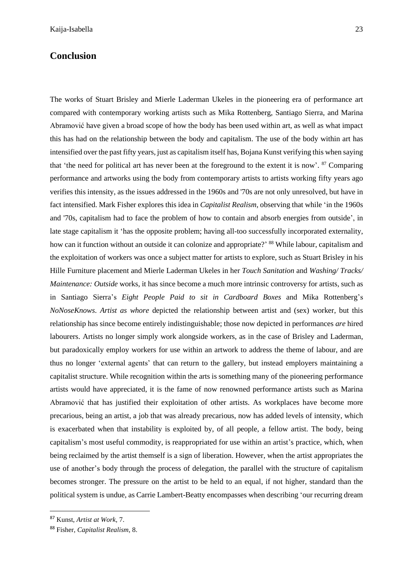## **Conclusion**

The works of Stuart Brisley and Mierle Laderman Ukeles in the pioneering era of performance art compared with contemporary working artists such as Mika Rottenberg, Santiago Sierra, and Marina Abramović have given a broad scope of how the body has been used within art, as well as what impact this has had on the relationship between the body and capitalism. The use of the body within art has intensified over the past fifty years, just as capitalism itself has, Bojana Kunst verifying this when saying that 'the need for political art has never been at the foreground to the extent it is now'. <sup>87</sup> Comparing performance and artworks using the body from contemporary artists to artists working fifty years ago verifies this intensity, as the issues addressed in the 1960s and '70s are not only unresolved, but have in fact intensified. Mark Fisher explores this idea in *Capitalist Realism*, observing that while 'in the 1960s and '70s, capitalism had to face the problem of how to contain and absorb energies from outside', in late stage capitalism it 'has the opposite problem; having all-too successfully incorporated externality, how can it function without an outside it can colonize and appropriate?' <sup>88</sup> While labour, capitalism and the exploitation of workers was once a subject matter for artists to explore, such as Stuart Brisley in his Hille Furniture placement and Mierle Laderman Ukeles in her *Touch Sanitation* and *Washing/ Tracks/ Maintenance: Outside* works, it has since become a much more intrinsic controversy for artists, such as in Santiago Sierra's *Eight People Paid to sit in Cardboard Boxes* and Mika Rottenberg's *NoNoseKnows*. *Artist as whore* depicted the relationship between artist and (sex) worker, but this relationship has since become entirely indistinguishable; those now depicted in performances *are* hired labourers. Artists no longer simply work alongside workers, as in the case of Brisley and Laderman, but paradoxically employ workers for use within an artwork to address the theme of labour, and are thus no longer 'external agents' that can return to the gallery, but instead employers maintaining a capitalist structure. While recognition within the arts is something many of the pioneering performance artists would have appreciated, it is the fame of now renowned performance artists such as Marina Abramović that has justified their exploitation of other artists. As workplaces have become more precarious, being an artist, a job that was already precarious, now has added levels of intensity, which is exacerbated when that instability is exploited by, of all people, a fellow artist. The body, being capitalism's most useful commodity, is reappropriated for use within an artist's practice, which, when being reclaimed by the artist themself is a sign of liberation. However, when the artist appropriates the use of another's body through the process of delegation, the parallel with the structure of capitalism becomes stronger. The pressure on the artist to be held to an equal, if not higher, standard than the political system is undue, as Carrie Lambert-Beatty encompasses when describing 'our recurring dream

<sup>87</sup> Kunst, *Artist at Work*, 7.

<sup>88</sup> Fisher, *Capitalist Realism*, 8.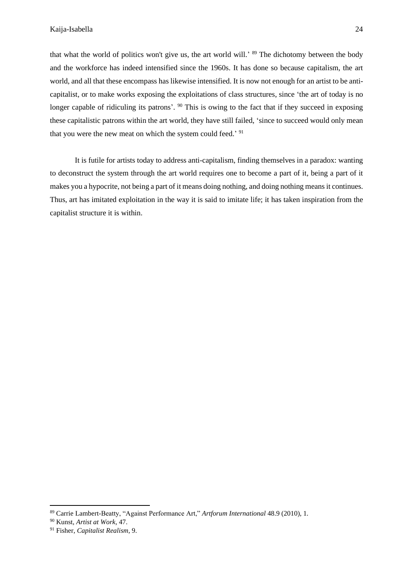that what the world of politics won't give us, the art world will.' <sup>89</sup> The dichotomy between the body and the workforce has indeed intensified since the 1960s. It has done so because capitalism, the art world, and all that these encompass has likewise intensified. It is now not enough for an artist to be anticapitalist, or to make works exposing the exploitations of class structures, since 'the art of today is no longer capable of ridiculing its patrons'. <sup>90</sup> This is owing to the fact that if they succeed in exposing these capitalistic patrons within the art world, they have still failed, 'since to succeed would only mean that you were the new meat on which the system could feed.' <sup>91</sup>

It is futile for artists today to address anti-capitalism, finding themselves in a paradox: wanting to deconstruct the system through the art world requires one to become a part of it, being a part of it makes you a hypocrite, not being a part of it means doing nothing, and doing nothing meansit continues. Thus, art has imitated exploitation in the way it is said to imitate life; it has taken inspiration from the capitalist structure it is within.

<sup>89</sup> Carrie Lambert-Beatty, "Against Performance Art," *Artforum International* 48.9 (2010), 1.

<sup>90</sup> Kunst, *Artist at Work*, 47.

<sup>91</sup> Fisher, *Capitalist Realism*, 9.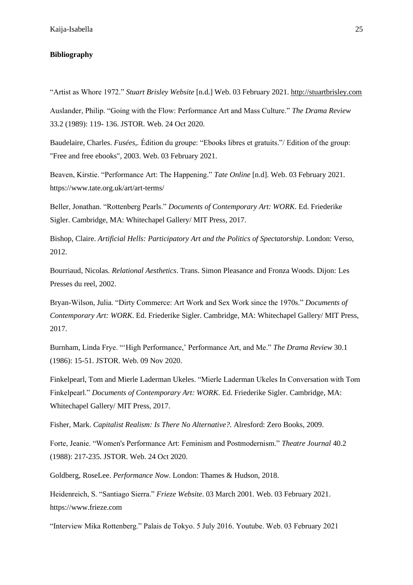#### **Bibliography**

"Artist as Whore 1972." *Stuart Brisley Website* [n.d.] Web. 03 February 2021. [http://stuartbrisley.com](http://stuartbrisley.com/)

Auslander, Philip. "Going with the Flow: Performance Art and Mass Culture." *The Drama Review*  33.2 (1989): 119- 136. JSTOR. Web. 24 Oct 2020.

Baudelaire, Charles. *Fusées,.* Édition du groupe: "Ebooks libres et gratuits."/ Edition of the group: "Free and free ebooks", 2003. Web. 03 February 2021.

Beaven, Kirstie. "Performance Art: The Happening." *Tate Online* [n.d]. Web. 03 February 2021. https://www.tate.org.uk/art/art-terms/

Beller, Jonathan. "Rottenberg Pearls." *Documents of Contemporary Art: WORK*. Ed. Friederike Sigler. Cambridge, MA: Whitechapel Gallery/ MIT Press, 2017.

Bishop, Claire. *Artificial Hells: Participatory Art and the Politics of Spectatorship*. London: Verso, 2012.

Bourriaud, Nicolas. *Relational Aesthetics*. Trans. Simon Pleasance and Fronza Woods. Dijon: Les Presses du reel, 2002.

Bryan-Wilson, Julia. "Dirty Commerce: Art Work and Sex Work since the 1970s." *Documents of Contemporary Art: WORK*. Ed. Friederike Sigler. Cambridge, MA: Whitechapel Gallery/ MIT Press, 2017.

Burnham, Linda Frye. "'High Performance,' Performance Art, and Me." *The Drama Review* 30.1 (1986): 15-51. JSTOR. Web. 09 Nov 2020.

Finkelpearl, Tom and Mierle Laderman Ukeles. "Mierle Laderman Ukeles In Conversation with Tom Finkelpearl." *Documents of Contemporary Art: WORK*. Ed. Friederike Sigler. Cambridge, MA: Whitechapel Gallery/ MIT Press, 2017.

Fisher, Mark. *Capitalist Realism: Is There No Alternative?.* Alresford: Zero Books, 2009.

Forte, Jeanie. "Women's Performance Art: Feminism and Postmodernism." *Theatre Journal* 40.2 (1988): 217-235. JSTOR. Web. 24 Oct 2020.

Goldberg, RoseLee. *Performance Now.* London: Thames & Hudson, 2018.

Heidenreich, S. "Santiago Sierra." *Frieze Website*. 03 March 2001. Web. 03 February 2021. https://www.frieze.com

"Interview Mika Rottenberg." Palais de Tokyo. 5 July 2016. Youtube. Web. 03 February 2021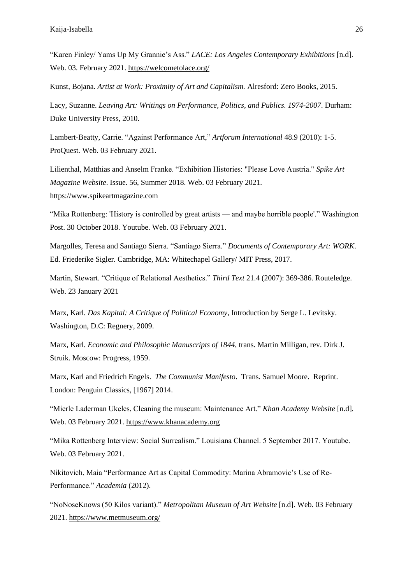"Karen Finley/ Yams Up My Grannie's Ass." *LACE: Los Angeles Contemporary Exhibitions* [n.d]. Web. 03. February 2021[. https://welcometolace.org/](https://welcometolace.org/)

Kunst, Bojana. *Artist at Work: Proximity of Art and Capitalism.* Alresford: Zero Books, 2015.

Lacy, Suzanne. *Leaving Art: Writings on Performance, Politics, and Publics. 1974-2007*. Durham: Duke University Press, 2010.

Lambert-Beatty, Carrie. "Against Performance Art," *Artforum International* 48.9 (2010): 1-5. ProQuest. Web. 03 February 2021.

Lilienthal, Matthias and Anselm Franke. "Exhibition Histories: "Please Love Austria." *Spike Art Magazine Website*. Issue. 56, Summer 2018. Web. 03 February 2021. [https://www.spikeartmagazine.com](https://www.spikeartmagazine.com/)

"Mika Rottenberg: 'History is controlled by great artists — and maybe horrible people'." Washington Post. 30 October 2018. Youtube. Web. 03 February 2021.

Margolles, Teresa and Santiago Sierra. "Santiago Sierra." *Documents of Contemporary Art: WORK*. Ed. Friederike Sigler. Cambridge, MA: Whitechapel Gallery/ MIT Press, 2017.

Martin, Stewart. "Critique of Relational Aesthetics." *Third Text* 21.4 (2007): 369-386. Routeledge. Web. 23 January 2021

Marx, Karl. *Das Kapital: A Critique of Political Economy*, Introduction by Serge L. Levitsky. Washington, D.C: Regnery, 2009.

Marx, Karl. *Economic and Philosophic Manuscripts of 1844*, trans. Martin Milligan, rev. Dirk J. Struik. Moscow: Progress, 1959.

Marx, Karl and Friedrich Engels. *The Communist Manifesto*. Trans. Samuel Moore. Reprint. London: Penguin Classics, [1967] 2014.

"Mierle Laderman Ukeles, Cleaning the museum: Maintenance Art." *Khan Academy Website* [n.d]. Web. 03 February 2021. [https://www.khanacademy.org](https://www.khanacademy.org/)

"Mika Rottenberg Interview: Social Surrealism." Louisiana Channel. 5 September 2017. Youtube. Web. 03 February 2021.

Nikitovich, Maia "Performance Art as Capital Commodity: Marina Abramovic's Use of Re-Performance." *Academia* (2012).

"NoNoseKnows (50 Kilos variant)." *Metropolitan Museum of Art Website* [n.d]. Web. 03 February 2021.<https://www.metmuseum.org/>